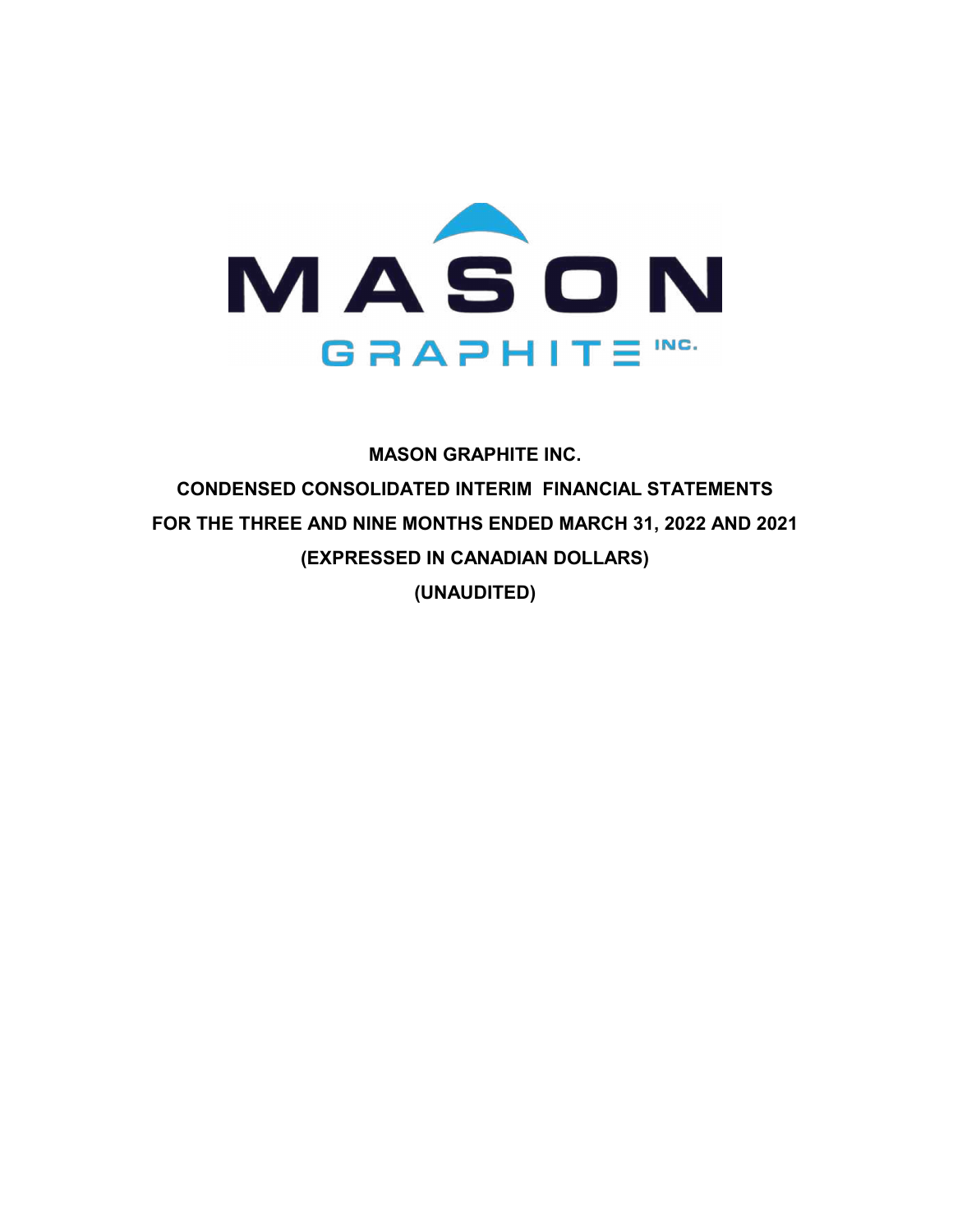

**MASON GRAPHITE INC. CONDENSED CONSOLIDATED INTERIM FINANCIAL STATEMENTS FOR THE THREE AND NINE MONTHS ENDED MARCH 31, 2022 AND 2021 (EXPRESSED IN CANADIAN DOLLARS) (UNAUDITED)**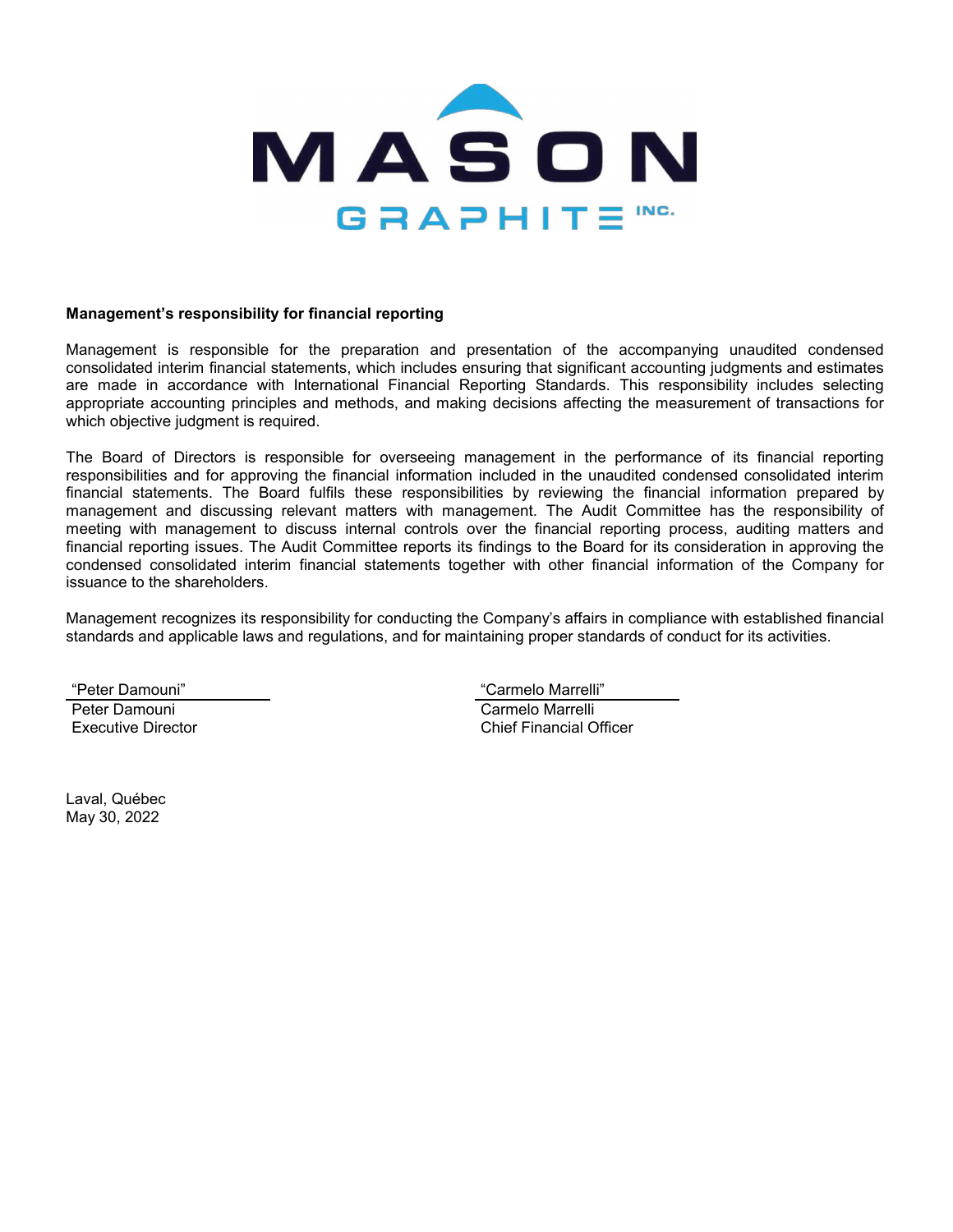

#### **Management's responsibility for financial reporting**

Management is responsible for the preparation and presentation of the accompanying unaudited condensed consolidated interim financial statements, which includes ensuring that significant accounting judgments and estimates are made in accordance with International Financial Reporting Standards. This responsibility includes selecting appropriate accounting principles and methods, and making decisions affecting the measurement of transactions for which objective judgment is required.

The Board of Directors is responsible for overseeing management in the performance of its financial reporting responsibilities and for approving the financial information included in the unaudited condensed consolidated interim financial statements. The Board fulfils these responsibilities by reviewing the financial information prepared by management and discussing relevant matters with management. The Audit Committee has the responsibility of meeting with management to discuss internal controls over the financial reporting process, auditing matters and financial reporting issues. The Audit Committee reports its findings to the Board for its consideration in approving the condensed consolidated interim financial statements together with other financial information of the Company for issuance to the shareholders.

Management recognizes its responsibility for conducting the Company's affairs in compliance with established financial standards and applicable laws and regulations, and for maintaining proper standards of conduct for its activities.

"Peter Damouni" "Carmelo Marrelli" Peter Damouni **Carmelo Marrelli** Executive Director Chief Financial Officer

Laval, Québec May 30, 2022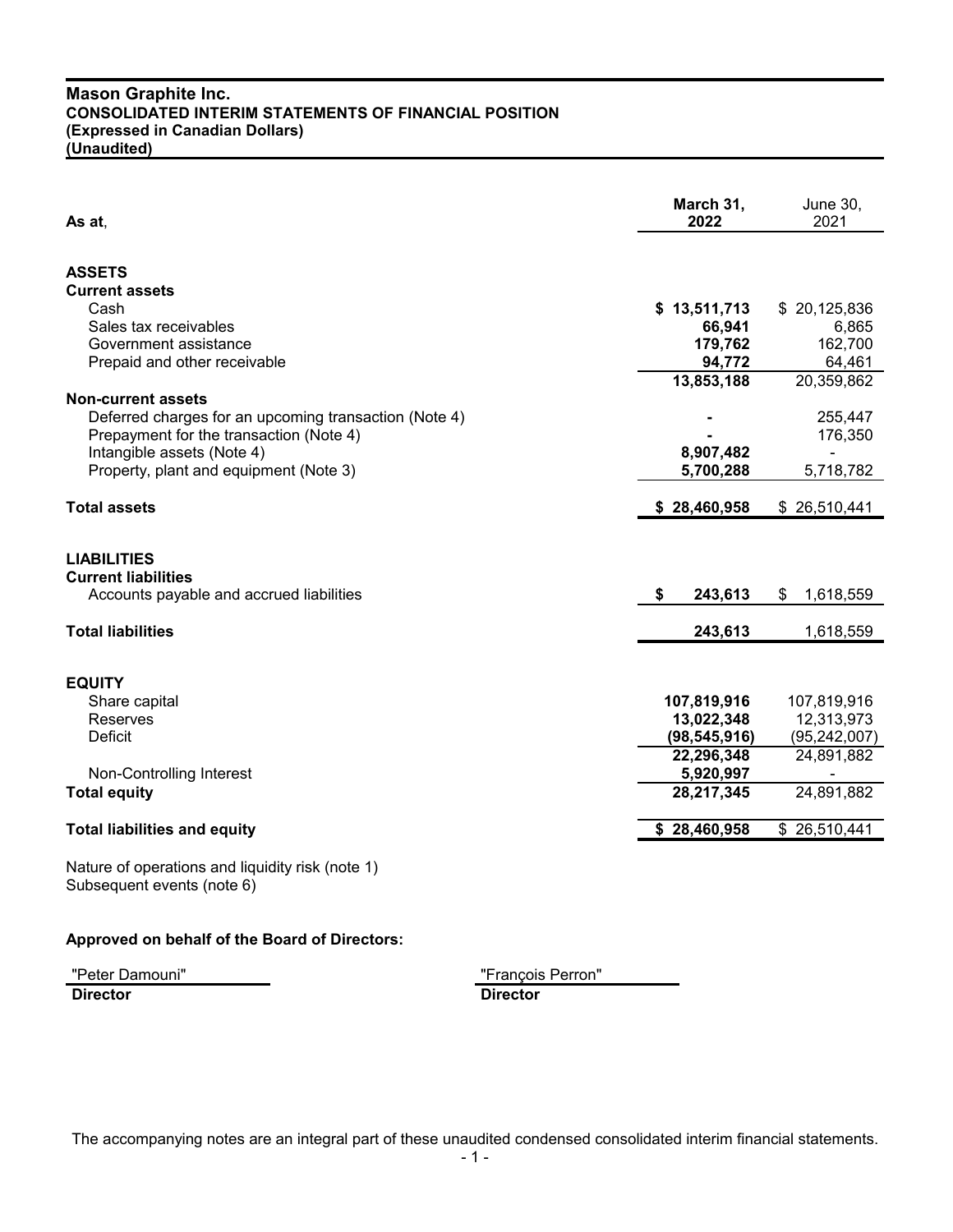| As at,                                                                                       | March 31,<br>2022         | June 30,<br>2021          |
|----------------------------------------------------------------------------------------------|---------------------------|---------------------------|
| <b>ASSETS</b>                                                                                |                           |                           |
| <b>Current assets</b>                                                                        |                           |                           |
| Cash                                                                                         | \$13,511,713              | \$20,125,836              |
| Sales tax receivables                                                                        | 66,941                    | 6,865                     |
| Government assistance                                                                        | 179,762                   | 162,700                   |
| Prepaid and other receivable                                                                 | 94,772                    | 64,461                    |
|                                                                                              | 13,853,188                | 20,359,862                |
| <b>Non-current assets</b>                                                                    |                           |                           |
| Deferred charges for an upcoming transaction (Note 4)                                        |                           | 255,447                   |
| Prepayment for the transaction (Note 4)                                                      |                           | 176,350                   |
| Intangible assets (Note 4)                                                                   | 8,907,482                 |                           |
| Property, plant and equipment (Note 3)                                                       | 5,700,288                 | 5,718,782                 |
| <b>Total assets</b>                                                                          | \$28,460,958              | \$26,510,441              |
| <b>LIABILITIES</b><br><b>Current liabilities</b><br>Accounts payable and accrued liabilities | \$<br>243,613             | 1,618,559<br>\$           |
| <b>Total liabilities</b>                                                                     | 243,613                   | 1,618,559                 |
| <b>EQUITY</b><br>Share capital<br>Reserves                                                   | 107,819,916<br>13,022,348 | 107,819,916<br>12,313,973 |
| <b>Deficit</b>                                                                               | (98, 545, 916)            | (95, 242, 007)            |
|                                                                                              | 22,296,348                | 24,891,882                |
| Non-Controlling Interest                                                                     | 5,920,997                 | 24,891,882                |
| <b>Total equity</b>                                                                          | 28,217,345                |                           |
| <b>Total liabilities and equity</b>                                                          | \$28,460,958              | \$26,510,441              |
|                                                                                              |                           |                           |

Nature of operations and liquidity risk (note 1) Subsequent events (note 6)

# **Approved on behalf of the Board of Directors:**

"Peter Damouni" "François Perron"

**Director Director**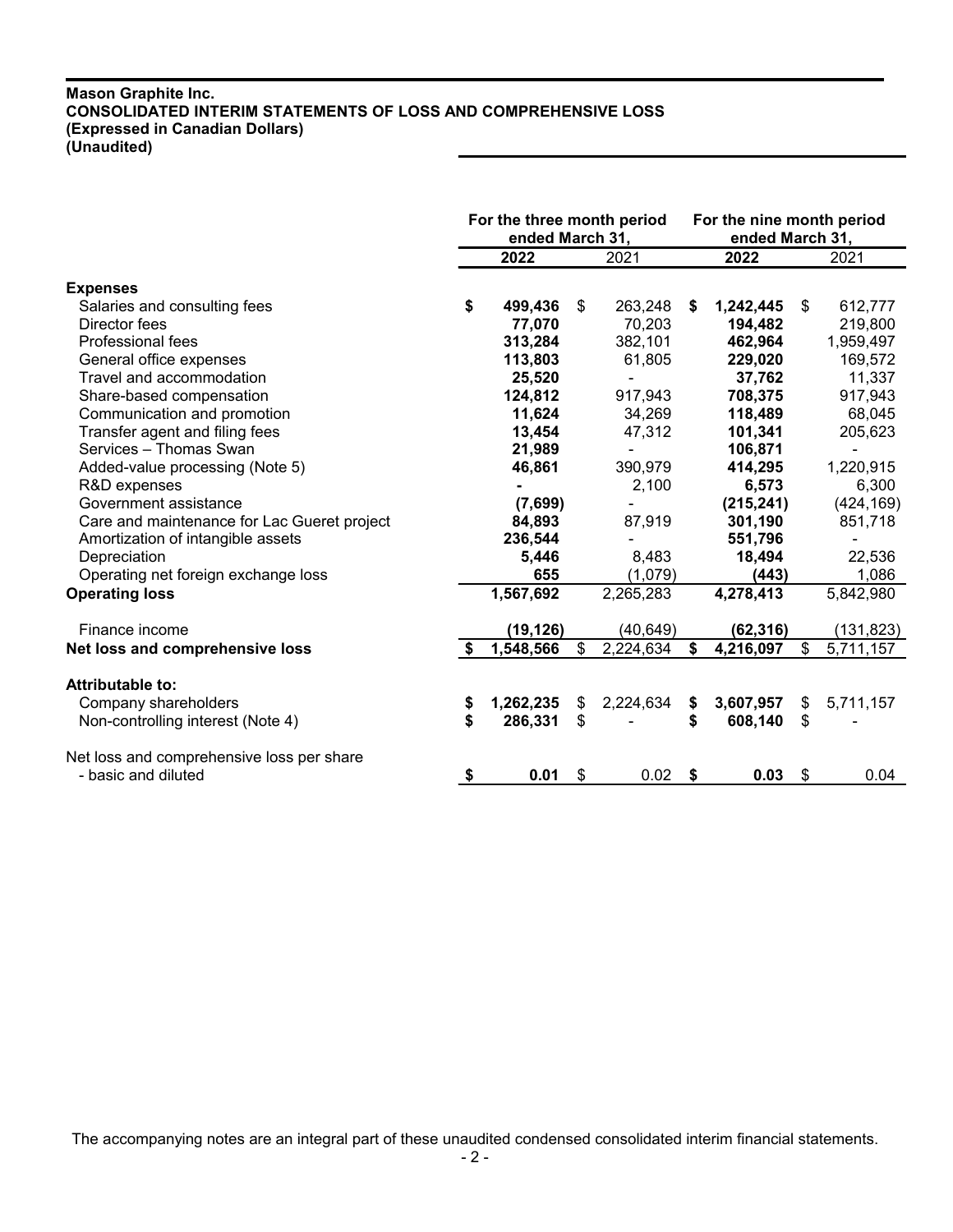# **Mason Graphite Inc. CONSOLIDATED INTERIM STATEMENTS OF LOSS AND COMPREHENSIVE LOSS (Expressed in Canadian Dollars) (Unaudited)**

|                                             | For the three month period<br>ended March 31, |           |    | For the nine month period<br>ended March 31, |    |            |    |            |
|---------------------------------------------|-----------------------------------------------|-----------|----|----------------------------------------------|----|------------|----|------------|
|                                             |                                               | 2022      |    | 2021                                         |    | 2022       |    | 2021       |
| <b>Expenses</b>                             |                                               |           |    |                                              |    |            |    |            |
| Salaries and consulting fees                | \$                                            | 499,436   | \$ | 263,248                                      | S. | 1,242,445  | \$ | 612,777    |
| Director fees                               |                                               | 77,070    |    | 70,203                                       |    | 194,482    |    | 219,800    |
| Professional fees                           |                                               | 313,284   |    | 382,101                                      |    | 462,964    |    | 1,959,497  |
| General office expenses                     |                                               | 113,803   |    | 61,805                                       |    | 229,020    |    | 169,572    |
| Travel and accommodation                    |                                               | 25,520    |    |                                              |    | 37,762     |    | 11,337     |
| Share-based compensation                    |                                               | 124,812   |    | 917,943                                      |    | 708,375    |    | 917,943    |
| Communication and promotion                 |                                               | 11,624    |    | 34,269                                       |    | 118,489    |    | 68,045     |
| Transfer agent and filing fees              |                                               | 13,454    |    | 47,312                                       |    | 101,341    |    | 205,623    |
| Services - Thomas Swan                      |                                               | 21,989    |    |                                              |    | 106,871    |    |            |
| Added-value processing (Note 5)             |                                               | 46,861    |    | 390,979                                      |    | 414,295    |    | 1,220,915  |
| R&D expenses                                |                                               |           |    | 2,100                                        |    | 6,573      |    | 6,300      |
| Government assistance                       |                                               | (7,699)   |    |                                              |    | (215, 241) |    | (424, 169) |
| Care and maintenance for Lac Gueret project |                                               | 84,893    |    | 87,919                                       |    | 301,190    |    | 851,718    |
| Amortization of intangible assets           |                                               | 236,544   |    |                                              |    | 551,796    |    |            |
| Depreciation                                |                                               | 5,446     |    | 8,483                                        |    | 18,494     |    | 22,536     |
| Operating net foreign exchange loss         |                                               | 655       |    | (1,079)                                      |    | (443)      |    | 1,086      |
| <b>Operating loss</b>                       |                                               | 1,567,692 |    | 2,265,283                                    |    | 4,278,413  |    | 5,842,980  |
| Finance income                              |                                               | (19, 126) |    | (40, 649)                                    |    | (62, 316)  |    | (131, 823) |
|                                             |                                               | 1,548,566 |    |                                              | \$ | 4,216,097  | \$ |            |
| Net loss and comprehensive loss             |                                               |           | \$ | 2,224,634                                    |    |            |    | 5,711,157  |
| Attributable to:                            |                                               |           |    |                                              |    |            |    |            |
| Company shareholders                        | \$                                            | 1,262,235 | \$ | 2,224,634                                    | \$ | 3,607,957  | \$ | 5,711,157  |
| Non-controlling interest (Note 4)           | \$                                            | 286,331   | \$ |                                              | \$ | 608,140    | \$ |            |
| Net loss and comprehensive loss per share   |                                               |           |    |                                              |    |            |    |            |
| - basic and diluted                         | $\frac{1}{2}$                                 | 0.01      | \$ | 0.02                                         | \$ | 0.03       | \$ | 0.04       |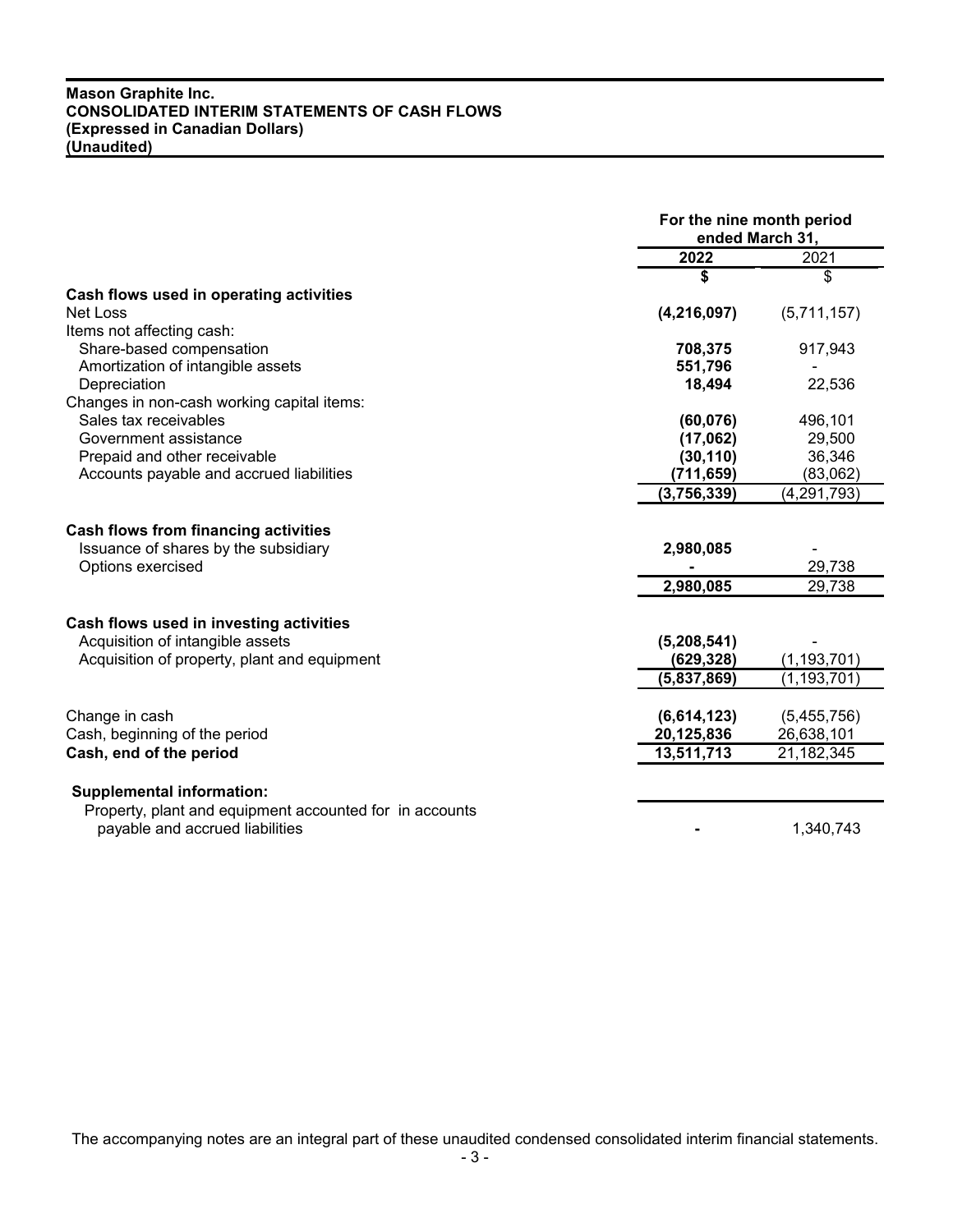# **Mason Graphite Inc. CONSOLIDATED INTERIM STATEMENTS OF CASH FLOWS (Expressed in Canadian Dollars) (Unaudited)**

|                                                         |               | For the nine month period<br>ended March 31, |  |  |
|---------------------------------------------------------|---------------|----------------------------------------------|--|--|
|                                                         | 2022          | 2021                                         |  |  |
|                                                         | \$            | \$                                           |  |  |
| Cash flows used in operating activities                 |               |                                              |  |  |
| Net Loss                                                | (4, 216, 097) | (5,711,157)                                  |  |  |
| Items not affecting cash:                               |               |                                              |  |  |
| Share-based compensation                                | 708,375       | 917,943                                      |  |  |
| Amortization of intangible assets                       | 551,796       |                                              |  |  |
| Depreciation                                            | 18,494        | 22,536                                       |  |  |
| Changes in non-cash working capital items:              |               |                                              |  |  |
| Sales tax receivables                                   | (60, 076)     | 496,101                                      |  |  |
| Government assistance                                   | (17,062)      | 29,500                                       |  |  |
| Prepaid and other receivable                            | (30, 110)     | 36,346                                       |  |  |
| Accounts payable and accrued liabilities                | (711, 659)    | (83,062)                                     |  |  |
|                                                         | (3,756,339)   | (4, 291, 793)                                |  |  |
| <b>Cash flows from financing activities</b>             |               |                                              |  |  |
| Issuance of shares by the subsidiary                    | 2,980,085     |                                              |  |  |
| Options exercised                                       |               | 29,738                                       |  |  |
|                                                         | 2,980,085     | 29,738                                       |  |  |
|                                                         |               |                                              |  |  |
| Cash flows used in investing activities                 |               |                                              |  |  |
| Acquisition of intangible assets                        | (5,208,541)   |                                              |  |  |
| Acquisition of property, plant and equipment            | (629, 328)    | (1, 193, 701)                                |  |  |
|                                                         | (5,837,869)   | (1, 193, 701)                                |  |  |
| Change in cash                                          | (6,614,123)   | (5,455,756)                                  |  |  |
| Cash, beginning of the period                           | 20,125,836    | 26,638,101                                   |  |  |
| Cash, end of the period                                 | 13,511,713    | 21,182,345                                   |  |  |
|                                                         |               |                                              |  |  |
| <b>Supplemental information:</b>                        |               |                                              |  |  |
| Property, plant and equipment accounted for in accounts |               |                                              |  |  |
| payable and accrued liabilities                         |               | 1,340,743                                    |  |  |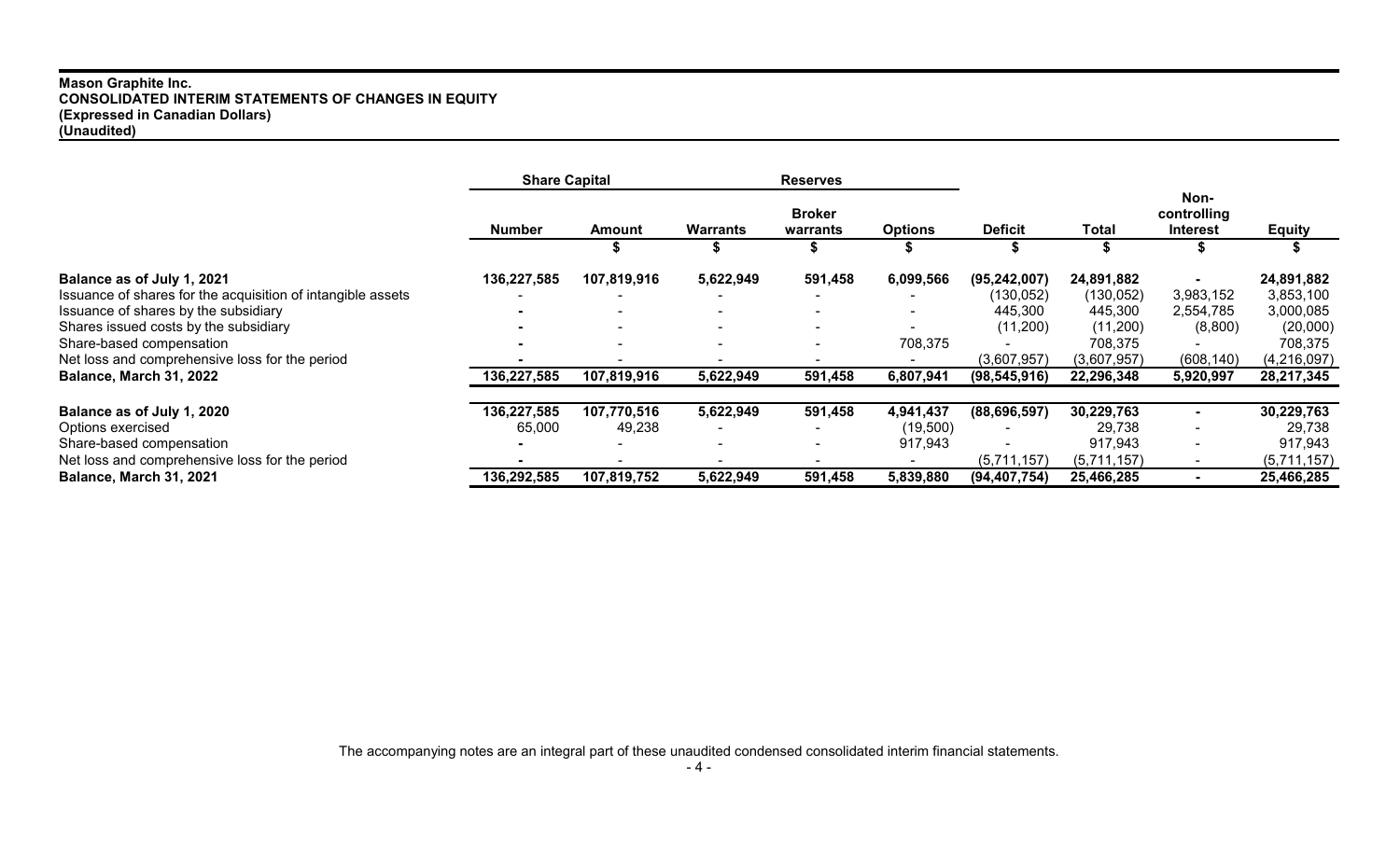## **Mason Graphite Inc. CONSOLIDATED INTERIM STATEMENTS OF CHANGES IN EQUITY (Expressed in Canadian Dollars) (Unaudited)**

|                                                             | <b>Share Capital</b> |                          | <b>Reserves</b>                                                |                          |                |                |                                        |                          |             |  |  |  |
|-------------------------------------------------------------|----------------------|--------------------------|----------------------------------------------------------------|--------------------------|----------------|----------------|----------------------------------------|--------------------------|-------------|--|--|--|
|                                                             | <b>Number</b>        | Amount                   | <b>Broker</b><br><b>Warrants</b><br><b>Options</b><br>warrants |                          | <b>Deficit</b> | Total          | Non-<br>controlling<br><b>Interest</b> | <b>Equity</b>            |             |  |  |  |
|                                                             |                      |                          |                                                                |                          |                |                |                                        |                          |             |  |  |  |
| Balance as of July 1, 2021                                  | 136,227,585          | 107,819,916              | 5,622,949                                                      | 591,458                  | 6,099,566      | (95, 242, 007) | 24,891,882                             |                          | 24,891,882  |  |  |  |
| Issuance of shares for the acquisition of intangible assets |                      |                          |                                                                |                          |                | (130, 052)     | (130, 052)                             | 3,983,152                | 3,853,100   |  |  |  |
| Issuance of shares by the subsidiary                        |                      | $\sim$                   | $\overline{\phantom{0}}$                                       | $\blacksquare$           |                | 445,300        | 445,300                                | 2,554,785                | 3,000,085   |  |  |  |
| Shares issued costs by the subsidiary                       |                      | $\sim$                   | $\overline{\phantom{0}}$                                       | $\overline{\phantom{0}}$ |                | (11,200)       | (11,200)                               | (8,800)                  | (20,000)    |  |  |  |
| Share-based compensation                                    |                      | $\overline{\phantom{0}}$ | $\overline{\phantom{0}}$                                       |                          | 708,375        |                | 708,375                                |                          | 708,375     |  |  |  |
| Net loss and comprehensive loss for the period              |                      | $\overline{\phantom{0}}$ |                                                                |                          |                | (3,607,957)    | (3,607,957)                            | (608, 140)               | (4,216,097) |  |  |  |
| Balance, March 31, 2022                                     | 136,227,585          | 107,819,916              | 5,622,949                                                      | 591,458                  | 6,807,941      | (98, 545, 916) | 22,296,348                             | 5,920,997                | 28,217,345  |  |  |  |
| Balance as of July 1, 2020                                  | 136,227,585          | 107,770,516              | 5,622,949                                                      | 591,458                  | 4,941,437      | (88, 696, 597) | 30,229,763                             | $\sim$                   | 30,229,763  |  |  |  |
| Options exercised                                           | 65,000               | 49,238                   |                                                                |                          | (19, 500)      |                | 29,738                                 | $\overline{\phantom{a}}$ | 29,738      |  |  |  |
| Share-based compensation                                    |                      | $\sim$                   |                                                                | $\overline{\phantom{0}}$ | 917,943        |                | 917,943                                | $\sim$                   | 917,943     |  |  |  |
| Net loss and comprehensive loss for the period              |                      |                          |                                                                |                          |                | (5,711,157)    | (5,711,157)                            |                          | (5,711,157) |  |  |  |
| Balance, March 31, 2021                                     | 136,292,585          | 107,819,752              | 5,622,949                                                      | 591,458                  | 5,839,880      | (94, 407, 754) | 25,466,285                             |                          | 25,466,285  |  |  |  |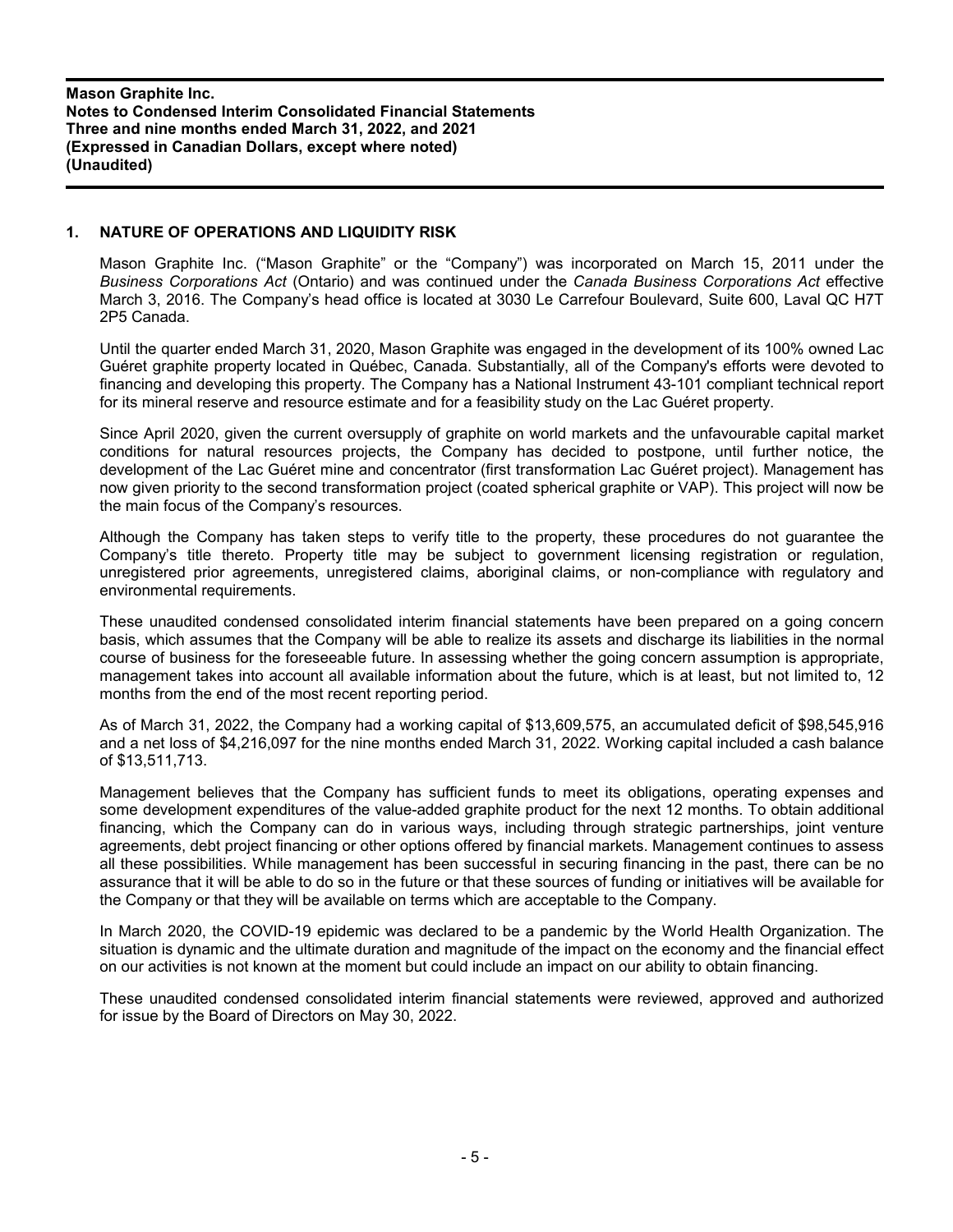# **1. NATURE OF OPERATIONS AND LIQUIDITY RISK**

Mason Graphite Inc. ("Mason Graphite" or the "Company") was incorporated on March 15, 2011 under the *Business Corporations Act* (Ontario) and was continued under the *Canada Business Corporations Act* effective March 3, 2016. The Company's head office is located at 3030 Le Carrefour Boulevard, Suite 600, Laval QC H7T 2P5 Canada.

Until the quarter ended March 31, 2020, Mason Graphite was engaged in the development of its 100% owned Lac Guéret graphite property located in Québec, Canada. Substantially, all of the Company's efforts were devoted to financing and developing this property. The Company has a National Instrument 43-101 compliant technical report for its mineral reserve and resource estimate and for a feasibility study on the Lac Guéret property.

Since April 2020, given the current oversupply of graphite on world markets and the unfavourable capital market conditions for natural resources projects, the Company has decided to postpone, until further notice, the development of the Lac Guéret mine and concentrator (first transformation Lac Guéret project). Management has now given priority to the second transformation project (coated spherical graphite or VAP). This project will now be the main focus of the Company's resources.

Although the Company has taken steps to verify title to the property, these procedures do not guarantee the Company's title thereto. Property title may be subject to government licensing registration or regulation, unregistered prior agreements, unregistered claims, aboriginal claims, or non-compliance with regulatory and environmental requirements.

These unaudited condensed consolidated interim financial statements have been prepared on a going concern basis, which assumes that the Company will be able to realize its assets and discharge its liabilities in the normal course of business for the foreseeable future. In assessing whether the going concern assumption is appropriate, management takes into account all available information about the future, which is at least, but not limited to, 12 months from the end of the most recent reporting period.

As of March 31, 2022, the Company had a working capital of \$13,609,575, an accumulated deficit of \$98,545,916 and a net loss of \$4,216,097 for the nine months ended March 31, 2022. Working capital included a cash balance of \$13,511,713.

Management believes that the Company has sufficient funds to meet its obligations, operating expenses and some development expenditures of the value-added graphite product for the next 12 months. To obtain additional financing, which the Company can do in various ways, including through strategic partnerships, joint venture agreements, debt project financing or other options offered by financial markets. Management continues to assess all these possibilities. While management has been successful in securing financing in the past, there can be no assurance that it will be able to do so in the future or that these sources of funding or initiatives will be available for the Company or that they will be available on terms which are acceptable to the Company.

In March 2020, the COVID-19 epidemic was declared to be a pandemic by the World Health Organization. The situation is dynamic and the ultimate duration and magnitude of the impact on the economy and the financial effect on our activities is not known at the moment but could include an impact on our ability to obtain financing.

These unaudited condensed consolidated interim financial statements were reviewed, approved and authorized for issue by the Board of Directors on May 30, 2022.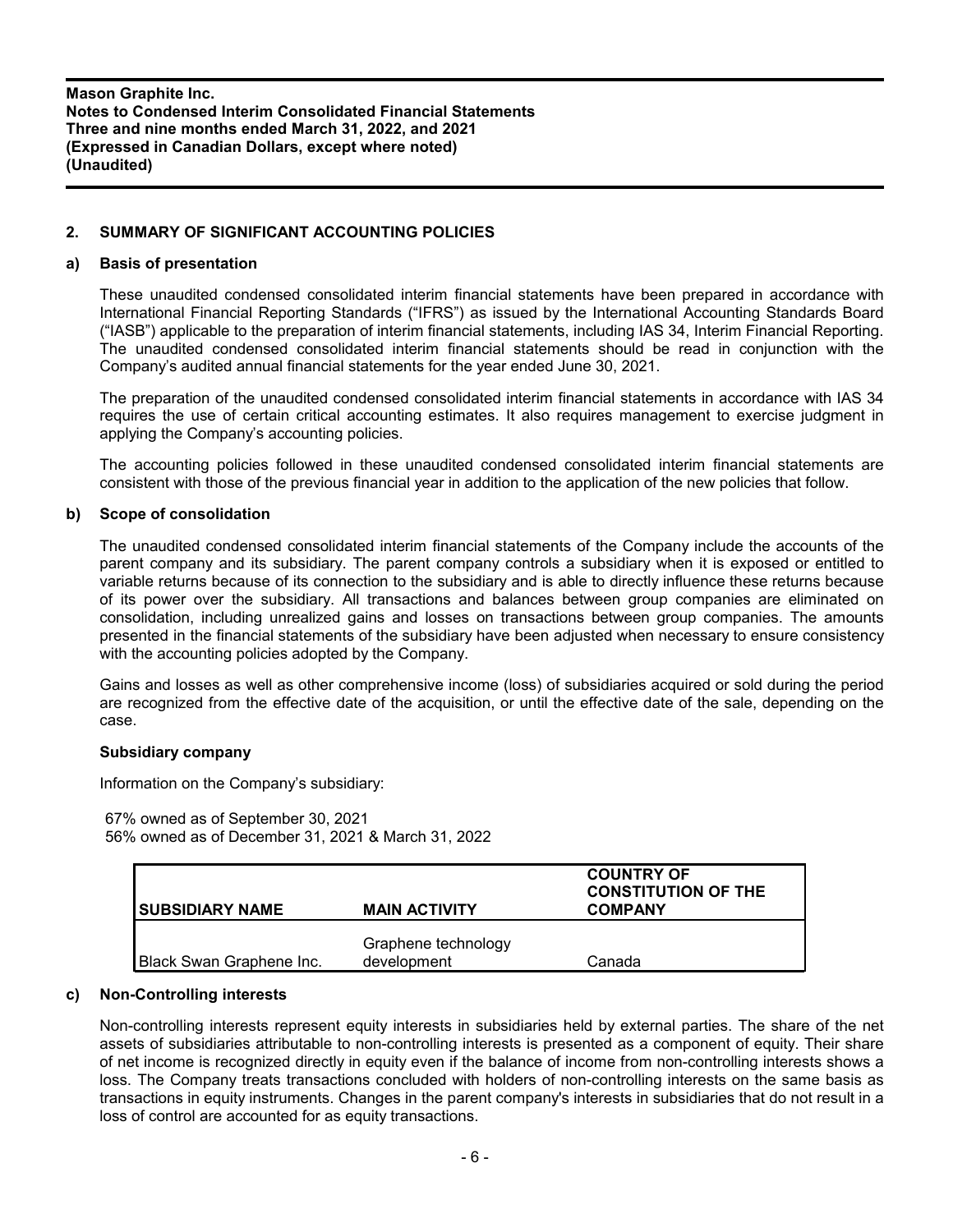# **2. SUMMARY OF SIGNIFICANT ACCOUNTING POLICIES**

### **a) Basis of presentation**

These unaudited condensed consolidated interim financial statements have been prepared in accordance with International Financial Reporting Standards ("IFRS") as issued by the International Accounting Standards Board ("IASB") applicable to the preparation of interim financial statements, including IAS 34, Interim Financial Reporting. The unaudited condensed consolidated interim financial statements should be read in conjunction with the Company's audited annual financial statements for the year ended June 30, 2021.

The preparation of the unaudited condensed consolidated interim financial statements in accordance with IAS 34 requires the use of certain critical accounting estimates. It also requires management to exercise judgment in applying the Company's accounting policies.

The accounting policies followed in these unaudited condensed consolidated interim financial statements are consistent with those of the previous financial year in addition to the application of the new policies that follow.

### **b) Scope of consolidation**

The unaudited condensed consolidated interim financial statements of the Company include the accounts of the parent company and its subsidiary. The parent company controls a subsidiary when it is exposed or entitled to variable returns because of its connection to the subsidiary and is able to directly influence these returns because of its power over the subsidiary. All transactions and balances between group companies are eliminated on consolidation, including unrealized gains and losses on transactions between group companies. The amounts presented in the financial statements of the subsidiary have been adjusted when necessary to ensure consistency with the accounting policies adopted by the Company.

Gains and losses as well as other comprehensive income (loss) of subsidiaries acquired or sold during the period are recognized from the effective date of the acquisition, or until the effective date of the sale, depending on the case.

# **Subsidiary company**

Information on the Company's subsidiary:

67% owned as of September 30, 2021 56% owned as of December 31, 2021 & March 31, 2022

| <b>SUBSIDIARY NAME</b>   | <b>MAIN ACTIVITY</b>               | <b>COUNTRY OF</b><br><b>CONSTITUTION OF THE</b><br><b>COMPANY</b> |
|--------------------------|------------------------------------|-------------------------------------------------------------------|
| Black Swan Graphene Inc. | Graphene technology<br>development | Canada                                                            |

#### **c) Non-Controlling interests**

Non-controlling interests represent equity interests in subsidiaries held by external parties. The share of the net assets of subsidiaries attributable to non-controlling interests is presented as a component of equity. Their share of net income is recognized directly in equity even if the balance of income from non-controlling interests shows a loss. The Company treats transactions concluded with holders of non-controlling interests on the same basis as transactions in equity instruments. Changes in the parent company's interests in subsidiaries that do not result in a loss of control are accounted for as equity transactions.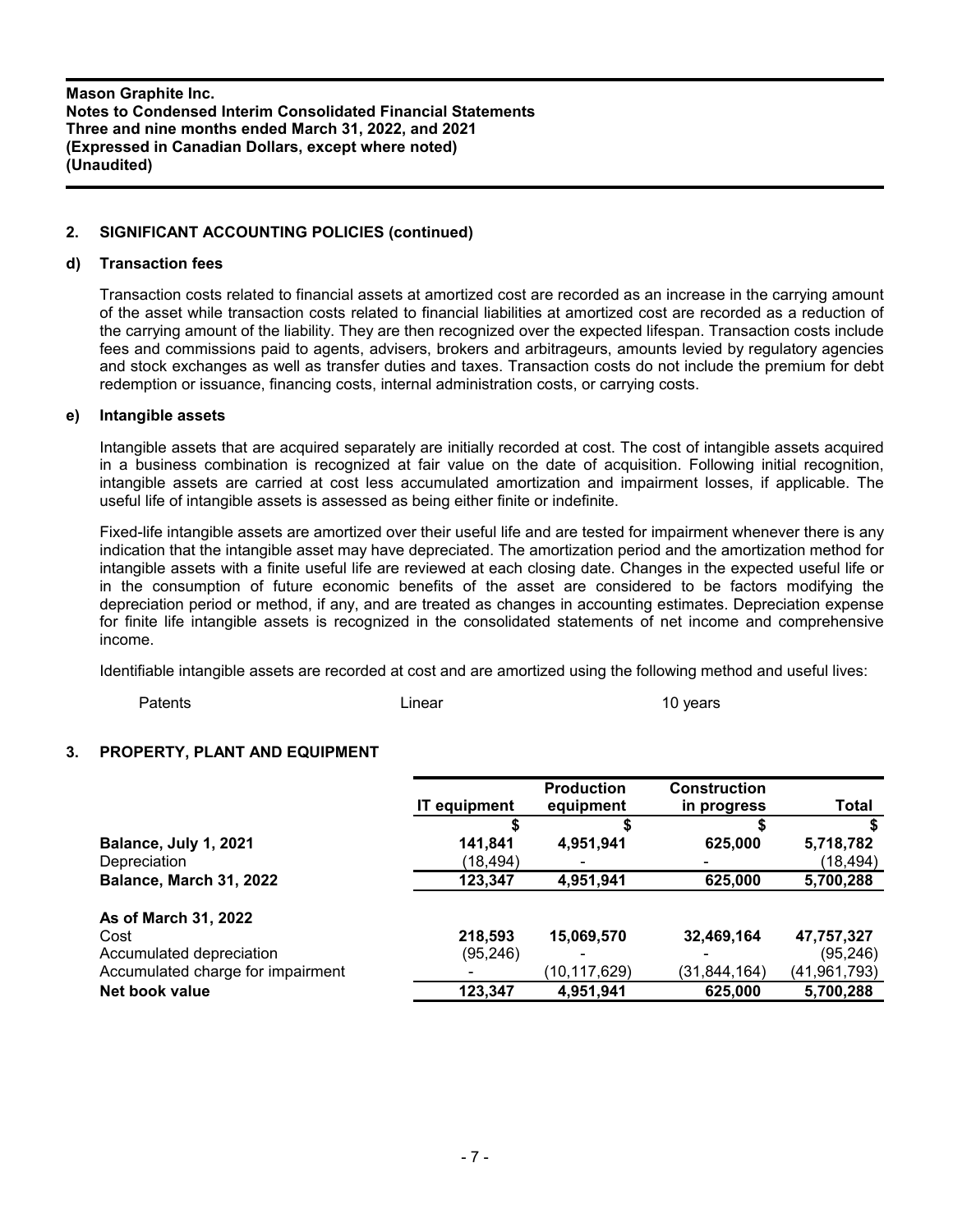# **2. SIGNIFICANT ACCOUNTING POLICIES (continued)**

# **d) Transaction fees**

Transaction costs related to financial assets at amortized cost are recorded as an increase in the carrying amount of the asset while transaction costs related to financial liabilities at amortized cost are recorded as a reduction of the carrying amount of the liability. They are then recognized over the expected lifespan. Transaction costs include fees and commissions paid to agents, advisers, brokers and arbitrageurs, amounts levied by regulatory agencies and stock exchanges as well as transfer duties and taxes. Transaction costs do not include the premium for debt redemption or issuance, financing costs, internal administration costs, or carrying costs.

### **e) Intangible assets**

Intangible assets that are acquired separately are initially recorded at cost. The cost of intangible assets acquired in a business combination is recognized at fair value on the date of acquisition. Following initial recognition, intangible assets are carried at cost less accumulated amortization and impairment losses, if applicable. The useful life of intangible assets is assessed as being either finite or indefinite.

Fixed-life intangible assets are amortized over their useful life and are tested for impairment whenever there is any indication that the intangible asset may have depreciated. The amortization period and the amortization method for intangible assets with a finite useful life are reviewed at each closing date. Changes in the expected useful life or in the consumption of future economic benefits of the asset are considered to be factors modifying the depreciation period or method, if any, and are treated as changes in accounting estimates. Depreciation expense for finite life intangible assets is recognized in the consolidated statements of net income and comprehensive income.

Identifiable intangible assets are recorded at cost and are amortized using the following method and useful lives:

Patents Linear 10 years

# **3. PROPERTY, PLANT AND EQUIPMENT**

|                                   | <b>IT equipment</b> | <b>Production</b><br>equipment | <b>Construction</b><br>in progress | <b>Total</b> |
|-----------------------------------|---------------------|--------------------------------|------------------------------------|--------------|
|                                   |                     |                                |                                    |              |
| Balance, July 1, 2021             | 141,841             | 4,951,941                      | 625,000                            | 5,718,782    |
| Depreciation                      | (18,494)            |                                |                                    | (18,494)     |
| Balance, March 31, 2022           | 123,347             | 4,951,941                      | 625,000                            | 5,700,288    |
| As of March 31, 2022              |                     |                                |                                    |              |
| Cost                              | 218,593             | 15,069,570                     | 32,469,164                         | 47,757,327   |
| Accumulated depreciation          | (95, 246)           |                                |                                    | (95, 246)    |
| Accumulated charge for impairment |                     | (10,117,629)                   | (31,844,164)                       | (41,961,793) |
| Net book value                    | 123,347             | 4,951,941                      | 625,000                            | 5,700,288    |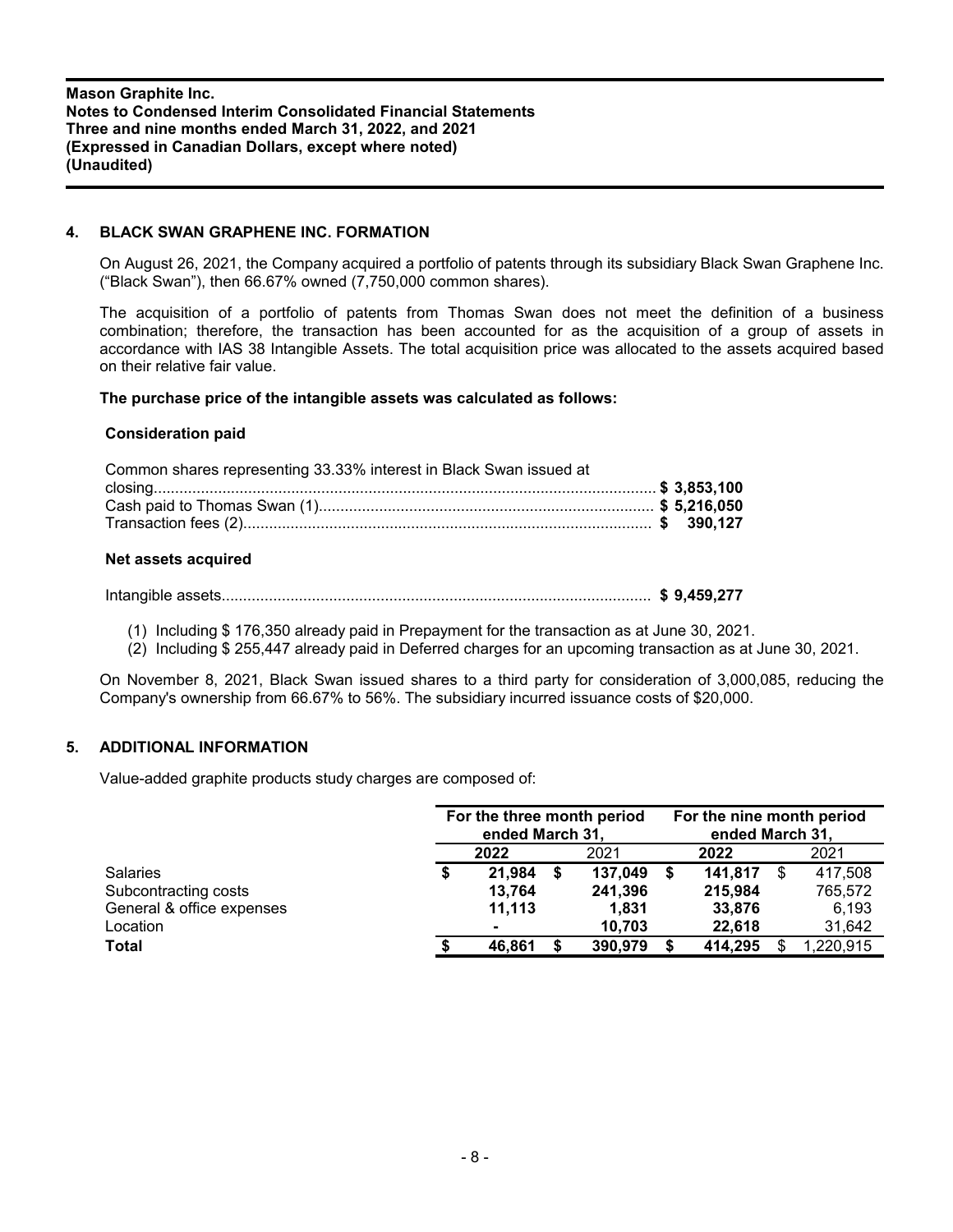# **4. BLACK SWAN GRAPHENE INC. FORMATION**

On August 26, 2021, the Company acquired a portfolio of patents through its subsidiary Black Swan Graphene Inc. ("Black Swan"), then 66.67% owned (7,750,000 common shares).

The acquisition of a portfolio of patents from Thomas Swan does not meet the definition of a business combination; therefore, the transaction has been accounted for as the acquisition of a group of assets in accordance with IAS 38 Intangible Assets. The total acquisition price was allocated to the assets acquired based on their relative fair value.

# **The purchase price of the intangible assets was calculated as follows:**

### **Consideration paid**

| Common shares representing 33.33% interest in Black Swan issued at |  |
|--------------------------------------------------------------------|--|
|                                                                    |  |
|                                                                    |  |
|                                                                    |  |

### **Net assets acquired**

Intangible assets.................................................................................................... **\$ 9,459,277**

(1) Including \$ 176,350 already paid in Prepayment for the transaction as at June 30, 2021.

(2) Including \$ 255,447 already paid in Deferred charges for an upcoming transaction as at June 30, 2021.

On November 8, 2021, Black Swan issued shares to a third party for consideration of 3,000,085, reducing the Company's ownership from 66.67% to 56%. The subsidiary incurred issuance costs of \$20,000.

# **5. ADDITIONAL INFORMATION**

Value-added graphite products study charges are composed of:

|                           | For the three month period<br>ended March 31, |  |         |  | For the nine month period<br>ended March 31, |  |           |  |
|---------------------------|-----------------------------------------------|--|---------|--|----------------------------------------------|--|-----------|--|
|                           | 2022                                          |  | 2021    |  | 2022                                         |  | 2021      |  |
| <b>Salaries</b>           | \$<br>21,984                                  |  | 137,049 |  | 141,817                                      |  | 417,508   |  |
| Subcontracting costs      | 13.764                                        |  | 241,396 |  | 215.984                                      |  | 765,572   |  |
| General & office expenses | 11.113                                        |  | 1.831   |  | 33,876                                       |  | 6,193     |  |
| Location                  | $\blacksquare$                                |  | 10.703  |  | 22.618                                       |  | 31,642    |  |
| Total                     | 46.861                                        |  | 390,979 |  | 414.295                                      |  | 1,220,915 |  |